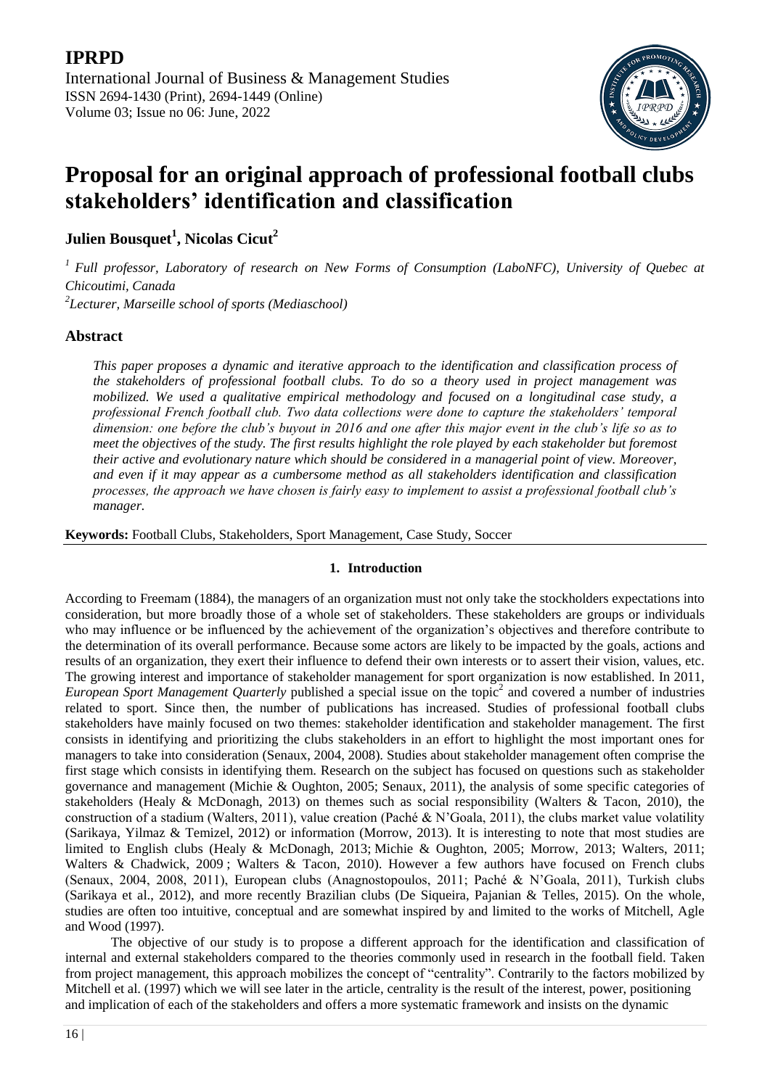

# **Proposal for an original approach of professional football clubs stakeholders' identification and classification**

**Julien Bousquet<sup>1</sup> , Nicolas Cicut<sup>2</sup>**

*<sup>1</sup>Full professor, Laboratory of research on New Forms of Consumption (LaboNFC), University of Quebec at Chicoutimi, Canada*

*2 Lecturer, Marseille school of sports (Mediaschool)*

# **Abstract**

*This paper proposes a dynamic and iterative approach to the identification and classification process of the stakeholders of professional football clubs. To do so a theory used in project management was mobilized. We used a qualitative empirical methodology and focused on a longitudinal case study, a professional French football club. Two data collections were done to capture the stakeholders' temporal dimension: one before the club's buyout in 2016 and one after this major event in the club's life so as to meet the objectives of the study. The first results highlight the role played by each stakeholder but foremost their active and evolutionary nature which should be considered in a managerial point of view. Moreover, and even if it may appear as a cumbersome method as all stakeholders identification and classification processes, the approach we have chosen is fairly easy to implement to assist a professional football club's manager.*

**Keywords:** Football Clubs, Stakeholders, Sport Management, Case Study, Soccer

# **1. Introduction**

According to Freemam (1884), the managers of an organization must not only take the stockholders expectations into consideration, but more broadly those of a whole set of stakeholders. These stakeholders are groups or individuals who may influence or be influenced by the achievement of the organization's objectives and therefore contribute to the determination of its overall performance. Because some actors are likely to be impacted by the goals, actions and results of an organization, they exert their influence to defend their own interests or to assert their vision, values, etc. The growing interest and importance of stakeholder management for sport organization is now established. In 2011, *European Sport Management Quarterly* published a special issue on the topic<sup>2</sup> and covered a number of industries related to sport. Since then, the number of publications has increased. Studies of professional football clubs stakeholders have mainly focused on two themes: stakeholder identification and stakeholder management. The first consists in identifying and prioritizing the clubs stakeholders in an effort to highlight the most important ones for managers to take into consideration (Senaux, 2004, 2008). Studies about stakeholder management often comprise the first stage which consists in identifying them. Research on the subject has focused on questions such as stakeholder governance and management (Michie & Oughton, 2005; Senaux, 2011), the analysis of some specific categories of stakeholders (Healy & McDonagh, 2013) on themes such as social responsibility (Walters & Tacon, 2010), the construction of a stadium (Walters, 2011), value creation (Paché & N'Goala, 2011), the clubs market value volatility (Sarikaya, Yilmaz & Temizel, 2012) or information (Morrow, 2013). It is interesting to note that most studies are limited to English clubs (Healy & McDonagh, 2013; Michie & Oughton, 2005; Morrow, 2013; Walters, 2011; Walters & Chadwick, 2009; Walters & Tacon, 2010). However a few authors have focused on French clubs (Senaux, 2004, 2008, 2011), European clubs (Anagnostopoulos, 2011; Paché & N"Goala, 2011), Turkish clubs (Sarikaya et al., 2012), and more recently Brazilian clubs (De Siqueira, Pajanian & Telles, 2015). On the whole, studies are often too intuitive, conceptual and are somewhat inspired by and limited to the works of Mitchell, Agle and Wood (1997).

The objective of our study is to propose a different approach for the identification and classification of internal and external stakeholders compared to the theories commonly used in research in the football field. Taken from project management, this approach mobilizes the concept of "centrality". Contrarily to the factors mobilized by Mitchell et al. (1997) which we will see later in the article, centrality is the result of the interest, power, positioning and implication of each of the stakeholders and offers a more systematic framework and insists on the dynamic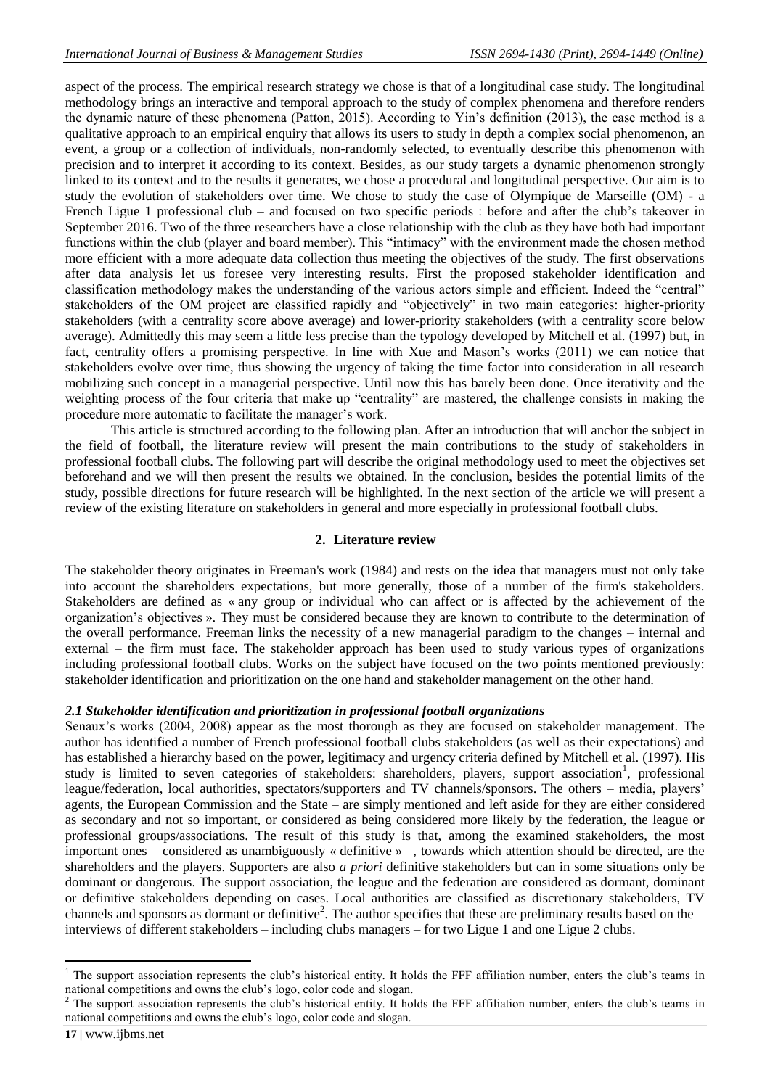aspect of the process. The empirical research strategy we chose is that of a longitudinal case study. The longitudinal methodology brings an interactive and temporal approach to the study of complex phenomena and therefore renders the dynamic nature of these phenomena (Patton, 2015). According to Yin"s definition (2013), the case method is a qualitative approach to an empirical enquiry that allows its users to study in depth a complex social phenomenon, an event, a group or a collection of individuals, non-randomly selected, to eventually describe this phenomenon with precision and to interpret it according to its context. Besides, as our study targets a dynamic phenomenon strongly linked to its context and to the results it generates, we chose a procedural and longitudinal perspective. Our aim is to study the evolution of stakeholders over time. We chose to study the case of Olympique de Marseille (OM) - a French Ligue 1 professional club – and focused on two specific periods : before and after the club's takeover in September 2016. Two of the three researchers have a close relationship with the club as they have both had important functions within the club (player and board member). This "intimacy" with the environment made the chosen method more efficient with a more adequate data collection thus meeting the objectives of the study. The first observations after data analysis let us foresee very interesting results. First the proposed stakeholder identification and classification methodology makes the understanding of the various actors simple and efficient. Indeed the "central" stakeholders of the OM project are classified rapidly and "objectively" in two main categories: higher-priority stakeholders (with a centrality score above average) and lower-priority stakeholders (with a centrality score below average). Admittedly this may seem a little less precise than the typology developed by Mitchell et al. (1997) but, in fact, centrality offers a promising perspective. In line with Xue and Mason"s works (2011) we can notice that stakeholders evolve over time, thus showing the urgency of taking the time factor into consideration in all research mobilizing such concept in a managerial perspective. Until now this has barely been done. Once iterativity and the weighting process of the four criteria that make up "centrality" are mastered, the challenge consists in making the procedure more automatic to facilitate the manager's work.

This article is structured according to the following plan. After an introduction that will anchor the subject in the field of football, the literature review will present the main contributions to the study of stakeholders in professional football clubs. The following part will describe the original methodology used to meet the objectives set beforehand and we will then present the results we obtained. In the conclusion, besides the potential limits of the study, possible directions for future research will be highlighted. In the next section of the article we will present a review of the existing literature on stakeholders in general and more especially in professional football clubs.

#### **2. Literature review**

The stakeholder theory originates in Freeman's work (1984) and rests on the idea that managers must not only take into account the shareholders expectations, but more generally, those of a number of the firm's stakeholders. Stakeholders are defined as « any group or individual who can affect or is affected by the achievement of the organization"s objectives ». They must be considered because they are known to contribute to the determination of the overall performance. Freeman links the necessity of a new managerial paradigm to the changes – internal and external – the firm must face. The stakeholder approach has been used to study various types of organizations including professional football clubs. Works on the subject have focused on the two points mentioned previously: stakeholder identification and prioritization on the one hand and stakeholder management on the other hand.

#### *2.1 Stakeholder identification and prioritization in professional football organizations*

Senaux's works (2004, 2008) appear as the most thorough as they are focused on stakeholder management. The author has identified a number of French professional football clubs stakeholders (as well as their expectations) and has established a hierarchy based on the power, legitimacy and urgency criteria defined by Mitchell et al. (1997). His study is limited to seven categories of stakeholders: shareholders, players, support association<sup>1</sup>, professional league/federation, local authorities, spectators/supporters and TV channels/sponsors. The others – media, players' agents, the European Commission and the State – are simply mentioned and left aside for they are either considered as secondary and not so important, or considered as being considered more likely by the federation, the league or professional groups/associations. The result of this study is that, among the examined stakeholders, the most important ones – considered as unambiguously « definitive » –, towards which attention should be directed, are the shareholders and the players. Supporters are also *a priori* definitive stakeholders but can in some situations only be dominant or dangerous. The support association, the league and the federation are considered as dormant, dominant or definitive stakeholders depending on cases. Local authorities are classified as discretionary stakeholders, TV channels and sponsors as dormant or definitive<sup>2</sup>. The author specifies that these are preliminary results based on the interviews of different stakeholders – including clubs managers – for two Ligue 1 and one Ligue 2 clubs.

 $\overline{\phantom{a}}$ 

<sup>1</sup> The support association represents the club"s historical entity. It holds the FFF affiliation number, enters the club"s teams in national competitions and owns the club"s logo, color code and slogan.

<sup>2</sup> The support association represents the club"s historical entity. It holds the FFF affiliation number, enters the club"s teams in national competitions and owns the club"s logo, color code and slogan.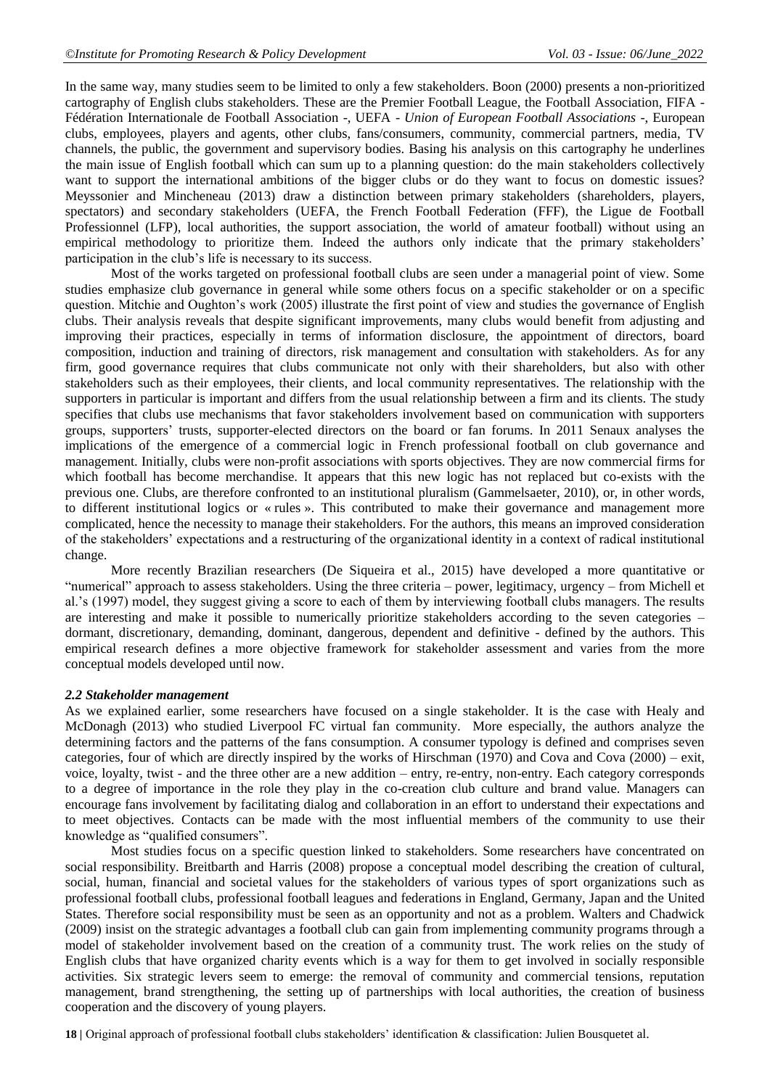In the same way, many studies seem to be limited to only a few stakeholders. Boon (2000) presents a non-prioritized cartography of English clubs stakeholders. These are the Premier Football League, the Football Association, FIFA - Fédération Internationale de Football Association -, UEFA - *Union of European Football Associations -*, European clubs, employees, players and agents, other clubs, fans/consumers, community, commercial partners, media, TV channels, the public, the government and supervisory bodies. Basing his analysis on this cartography he underlines the main issue of English football which can sum up to a planning question: do the main stakeholders collectively want to support the international ambitions of the bigger clubs or do they want to focus on domestic issues? Meyssonier and Mincheneau (2013) draw a distinction between primary stakeholders (shareholders, players, spectators) and secondary stakeholders (UEFA, the French Football Federation (FFF), the Ligue de Football Professionnel (LFP), local authorities, the support association, the world of amateur football) without using an empirical methodology to prioritize them. Indeed the authors only indicate that the primary stakeholders' participation in the club"s life is necessary to its success.

Most of the works targeted on professional football clubs are seen under a managerial point of view. Some studies emphasize club governance in general while some others focus on a specific stakeholder or on a specific question. Mitchie and Oughton's work (2005) illustrate the first point of view and studies the governance of English clubs. Their analysis reveals that despite significant improvements, many clubs would benefit from adjusting and improving their practices, especially in terms of information disclosure, the appointment of directors, board composition, induction and training of directors, risk management and consultation with stakeholders. As for any firm, good governance requires that clubs communicate not only with their shareholders, but also with other stakeholders such as their employees, their clients, and local community representatives. The relationship with the supporters in particular is important and differs from the usual relationship between a firm and its clients. The study specifies that clubs use mechanisms that favor stakeholders involvement based on communication with supporters groups, supporters" trusts, supporter-elected directors on the board or fan forums. In 2011 Senaux analyses the implications of the emergence of a commercial logic in French professional football on club governance and management. Initially, clubs were non-profit associations with sports objectives. They are now commercial firms for which football has become merchandise. It appears that this new logic has not replaced but co-exists with the previous one. Clubs, are therefore confronted to an institutional pluralism (Gammelsaeter, 2010), or, in other words, to different institutional logics or « rules ». This contributed to make their governance and management more complicated, hence the necessity to manage their stakeholders. For the authors, this means an improved consideration of the stakeholders" expectations and a restructuring of the organizational identity in a context of radical institutional change.

More recently Brazilian researchers (De Siqueira et al., 2015) have developed a more quantitative or "numerical" approach to assess stakeholders. Using the three criteria – power, legitimacy, urgency – from Michell et al."s (1997) model, they suggest giving a score to each of them by interviewing football clubs managers. The results are interesting and make it possible to numerically prioritize stakeholders according to the seven categories – dormant, discretionary, demanding, dominant, dangerous, dependent and definitive - defined by the authors. This empirical research defines a more objective framework for stakeholder assessment and varies from the more conceptual models developed until now.

#### *2.2 Stakeholder management*

As we explained earlier, some researchers have focused on a single stakeholder. It is the case with Healy and McDonagh (2013) who studied Liverpool FC virtual fan community. More especially, the authors analyze the determining factors and the patterns of the fans consumption. A consumer typology is defined and comprises seven categories, four of which are directly inspired by the works of Hirschman (1970) and Cova and Cova (2000) – exit, voice, loyalty, twist - and the three other are a new addition – entry, re-entry, non-entry. Each category corresponds to a degree of importance in the role they play in the co-creation club culture and brand value. Managers can encourage fans involvement by facilitating dialog and collaboration in an effort to understand their expectations and to meet objectives. Contacts can be made with the most influential members of the community to use their knowledge as "qualified consumers".

Most studies focus on a specific question linked to stakeholders. Some researchers have concentrated on social responsibility. Breitbarth and Harris (2008) propose a conceptual model describing the creation of cultural, social, human, financial and societal values for the stakeholders of various types of sport organizations such as professional football clubs, professional football leagues and federations in England, Germany, Japan and the United States. Therefore social responsibility must be seen as an opportunity and not as a problem. Walters and Chadwick (2009) insist on the strategic advantages a football club can gain from implementing community programs through a model of stakeholder involvement based on the creation of a community trust. The work relies on the study of English clubs that have organized charity events which is a way for them to get involved in socially responsible activities. Six strategic levers seem to emerge: the removal of community and commercial tensions, reputation management, brand strengthening, the setting up of partnerships with local authorities, the creation of business cooperation and the discovery of young players.

**18 |** Original approach of professional football clubs stakeholders" identification & classification: Julien Bousquetet al.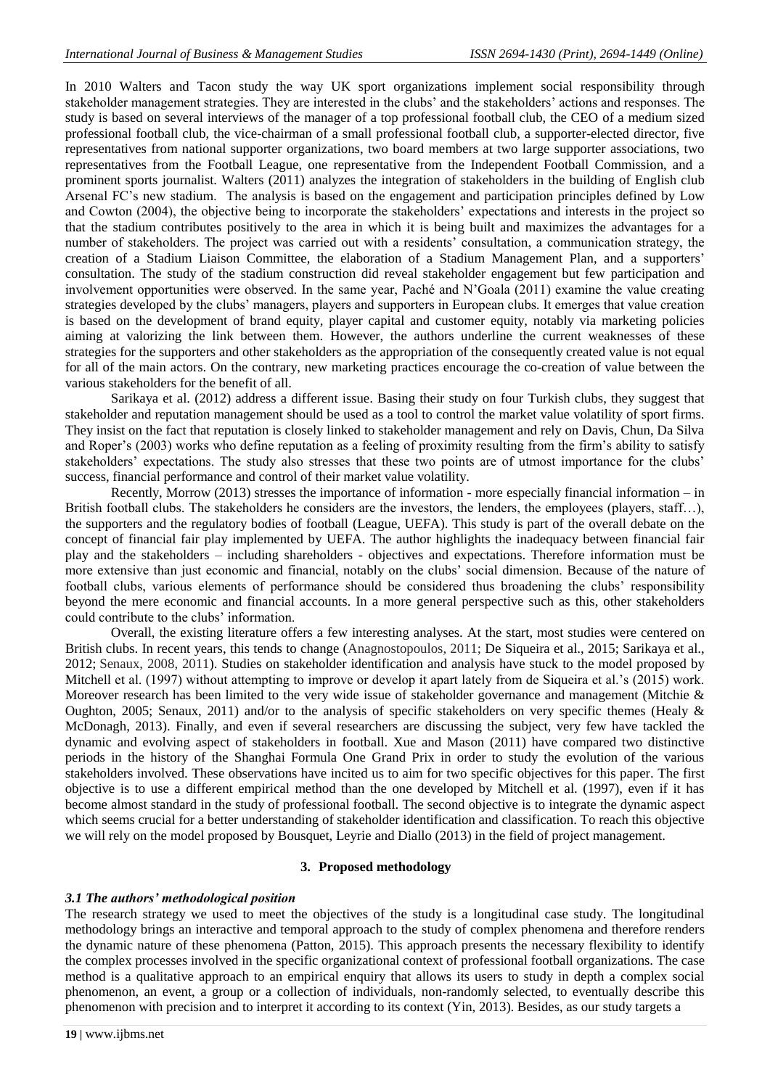In 2010 Walters and Tacon study the way UK sport organizations implement social responsibility through stakeholder management strategies. They are interested in the clubs' and the stakeholders' actions and responses. The study is based on several interviews of the manager of a top professional football club, the CEO of a medium sized professional football club, the vice-chairman of a small professional football club, a supporter-elected director, five representatives from national supporter organizations, two board members at two large supporter associations, two representatives from the Football League, one representative from the Independent Football Commission, and a prominent sports journalist. Walters (2011) analyzes the integration of stakeholders in the building of English club Arsenal FC"s new stadium. The analysis is based on the engagement and participation principles defined by Low and Cowton (2004), the objective being to incorporate the stakeholders' expectations and interests in the project so that the stadium contributes positively to the area in which it is being built and maximizes the advantages for a number of stakeholders. The project was carried out with a residents" consultation, a communication strategy, the creation of a Stadium Liaison Committee, the elaboration of a Stadium Management Plan, and a supporters" consultation. The study of the stadium construction did reveal stakeholder engagement but few participation and involvement opportunities were observed. In the same year, Paché and N"Goala (2011) examine the value creating strategies developed by the clubs" managers, players and supporters in European clubs. It emerges that value creation is based on the development of brand equity, player capital and customer equity, notably via marketing policies aiming at valorizing the link between them. However, the authors underline the current weaknesses of these strategies for the supporters and other stakeholders as the appropriation of the consequently created value is not equal for all of the main actors. On the contrary, new marketing practices encourage the co-creation of value between the various stakeholders for the benefit of all.

Sarikaya et al. (2012) address a different issue. Basing their study on four Turkish clubs, they suggest that stakeholder and reputation management should be used as a tool to control the market value volatility of sport firms. They insist on the fact that reputation is closely linked to stakeholder management and rely on Davis, Chun, Da Silva and Roper's (2003) works who define reputation as a feeling of proximity resulting from the firm's ability to satisfy stakeholders' expectations. The study also stresses that these two points are of utmost importance for the clubs' success, financial performance and control of their market value volatility.

Recently, Morrow (2013) stresses the importance of information - more especially financial information – in British football clubs. The stakeholders he considers are the investors, the lenders, the employees (players, staff…), the supporters and the regulatory bodies of football (League, UEFA). This study is part of the overall debate on the concept of financial fair play implemented by UEFA. The author highlights the inadequacy between financial fair play and the stakeholders – including shareholders - objectives and expectations. Therefore information must be more extensive than just economic and financial, notably on the clubs" social dimension. Because of the nature of football clubs, various elements of performance should be considered thus broadening the clubs" responsibility beyond the mere economic and financial accounts. In a more general perspective such as this, other stakeholders could contribute to the clubs' information.

Overall, the existing literature offers a few interesting analyses. At the start, most studies were centered on British clubs. In recent years, this tends to change (Anagnostopoulos, 2011; De Siqueira et al., 2015; Sarikaya et al., 2012; Senaux, 2008, 2011). Studies on stakeholder identification and analysis have stuck to the model proposed by Mitchell et al. (1997) without attempting to improve or develop it apart lately from de Siqueira et al.'s (2015) work. Moreover research has been limited to the very wide issue of stakeholder governance and management (Mitchie & Oughton, 2005; Senaux, 2011) and/or to the analysis of specific stakeholders on very specific themes (Healy & McDonagh, 2013). Finally, and even if several researchers are discussing the subject, very few have tackled the dynamic and evolving aspect of stakeholders in football. Xue and Mason (2011) have compared two distinctive periods in the history of the Shanghai Formula One Grand Prix in order to study the evolution of the various stakeholders involved. These observations have incited us to aim for two specific objectives for this paper. The first objective is to use a different empirical method than the one developed by Mitchell et al. (1997), even if it has become almost standard in the study of professional football. The second objective is to integrate the dynamic aspect which seems crucial for a better understanding of stakeholder identification and classification. To reach this objective we will rely on the model proposed by Bousquet, Leyrie and Diallo (2013) in the field of project management.

#### **3. Proposed methodology**

#### *3.1 The authors' methodological position*

The research strategy we used to meet the objectives of the study is a longitudinal case study. The longitudinal methodology brings an interactive and temporal approach to the study of complex phenomena and therefore renders the dynamic nature of these phenomena (Patton, 2015). This approach presents the necessary flexibility to identify the complex processes involved in the specific organizational context of professional football organizations. The case method is a qualitative approach to an empirical enquiry that allows its users to study in depth a complex social phenomenon, an event, a group or a collection of individuals, non-randomly selected, to eventually describe this phenomenon with precision and to interpret it according to its context (Yin, 2013). Besides, as our study targets a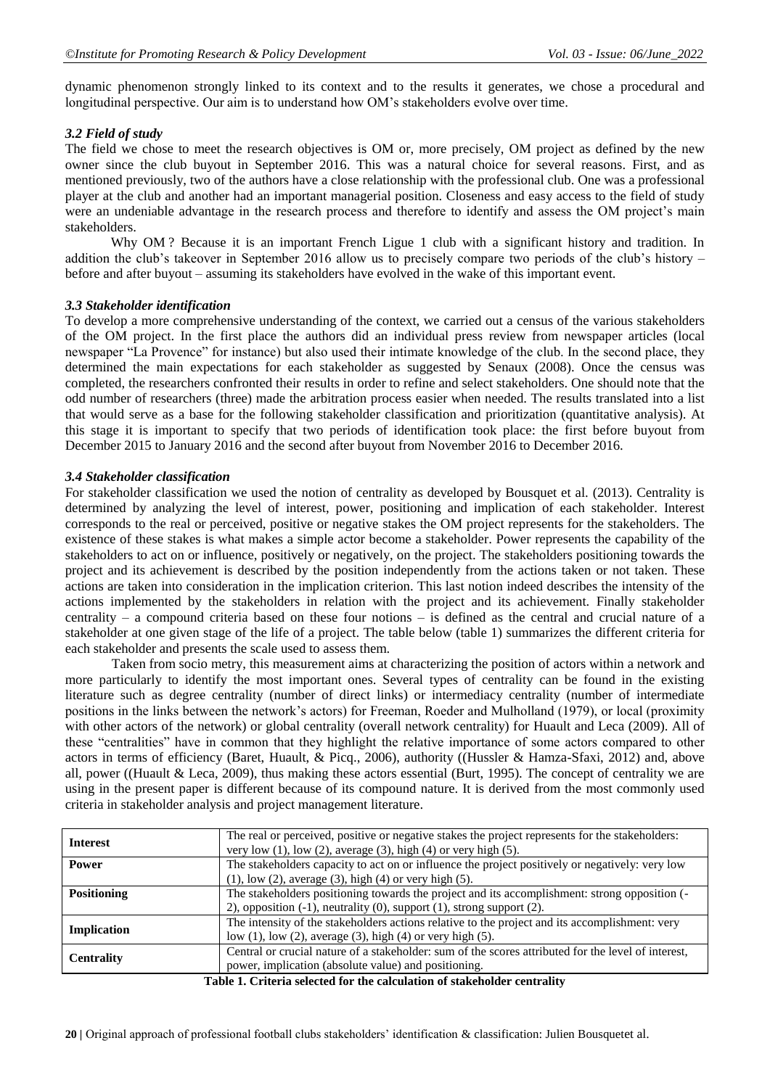dynamic phenomenon strongly linked to its context and to the results it generates, we chose a procedural and longitudinal perspective. Our aim is to understand how OM"s stakeholders evolve over time.

# *3.2 Field of study*

The field we chose to meet the research objectives is OM or, more precisely, OM project as defined by the new owner since the club buyout in September 2016. This was a natural choice for several reasons. First, and as mentioned previously, two of the authors have a close relationship with the professional club. One was a professional player at the club and another had an important managerial position. Closeness and easy access to the field of study were an undeniable advantage in the research process and therefore to identify and assess the OM project's main stakeholders.

Why OM ? Because it is an important French Ligue 1 club with a significant history and tradition. In addition the club's takeover in September 2016 allow us to precisely compare two periods of the club's history  $$ before and after buyout – assuming its stakeholders have evolved in the wake of this important event.

# *3.3 Stakeholder identification*

To develop a more comprehensive understanding of the context, we carried out a census of the various stakeholders of the OM project. In the first place the authors did an individual press review from newspaper articles (local newspaper "La Provence" for instance) but also used their intimate knowledge of the club. In the second place, they determined the main expectations for each stakeholder as suggested by Senaux (2008). Once the census was completed, the researchers confronted their results in order to refine and select stakeholders. One should note that the odd number of researchers (three) made the arbitration process easier when needed. The results translated into a list that would serve as a base for the following stakeholder classification and prioritization (quantitative analysis). At this stage it is important to specify that two periods of identification took place: the first before buyout from December 2015 to January 2016 and the second after buyout from November 2016 to December 2016.

# *3.4 Stakeholder classification*

For stakeholder classification we used the notion of centrality as developed by Bousquet et al. (2013). Centrality is determined by analyzing the level of interest, power, positioning and implication of each stakeholder. Interest corresponds to the real or perceived, positive or negative stakes the OM project represents for the stakeholders. The existence of these stakes is what makes a simple actor become a stakeholder. Power represents the capability of the stakeholders to act on or influence, positively or negatively, on the project. The stakeholders positioning towards the project and its achievement is described by the position independently from the actions taken or not taken. These actions are taken into consideration in the implication criterion. This last notion indeed describes the intensity of the actions implemented by the stakeholders in relation with the project and its achievement. Finally stakeholder centrality – a compound criteria based on these four notions – is defined as the central and crucial nature of a stakeholder at one given stage of the life of a project. The table below (table 1) summarizes the different criteria for each stakeholder and presents the scale used to assess them.

Taken from socio metry, this measurement aims at characterizing the position of actors within a network and more particularly to identify the most important ones. Several types of centrality can be found in the existing literature such as degree centrality (number of direct links) or intermediacy centrality (number of intermediate positions in the links between the network"s actors) for Freeman, Roeder and Mulholland (1979), or local (proximity with other actors of the network) or global centrality (overall network centrality) for Huault and Leca (2009). All of these "centralities" have in common that they highlight the relative importance of some actors compared to other actors in terms of efficiency (Baret, Huault, & Picq., 2006), authority ((Hussler & Hamza-Sfaxi, 2012) and, above all, power ((Huault & Leca, 2009), thus making these actors essential (Burt, 1995). The concept of centrality we are using in the present paper is different because of its compound nature. It is derived from the most commonly used criteria in stakeholder analysis and project management literature.

| <b>Interest</b>               | The real or perceived, positive or negative stakes the project represents for the stakeholders:<br>very low $(1)$ , low $(2)$ , average $(3)$ , high $(4)$ or very high $(5)$ . |  |
|-------------------------------|---------------------------------------------------------------------------------------------------------------------------------------------------------------------------------|--|
| <b>Power</b>                  | The stakeholders capacity to act on or influence the project positively or negatively: very low                                                                                 |  |
|                               | $(1)$ , low $(2)$ , average $(3)$ , high $(4)$ or very high $(5)$ .                                                                                                             |  |
| <b>Positioning</b>            | The stakeholders positioning towards the project and its accomplishment: strong opposition (-                                                                                   |  |
|                               | 2), opposition $(-1)$ , neutrality $(0)$ , support $(1)$ , strong support $(2)$ .                                                                                               |  |
| <b>Implication</b>            | The intensity of the stakeholders actions relative to the project and its accomplishment: very                                                                                  |  |
|                               | low $(1)$ , low $(2)$ , average $(3)$ , high $(4)$ or very high $(5)$ .                                                                                                         |  |
| <b>Centrality</b>             | Central or crucial nature of a stakeholder: sum of the scores attributed for the level of interest,                                                                             |  |
|                               | power, implication (absolute value) and positioning.                                                                                                                            |  |
| יש נווה מיש של הסווי של המאוד |                                                                                                                                                                                 |  |

**Table 1. Criteria selected for the calculation of stakeholder centrality**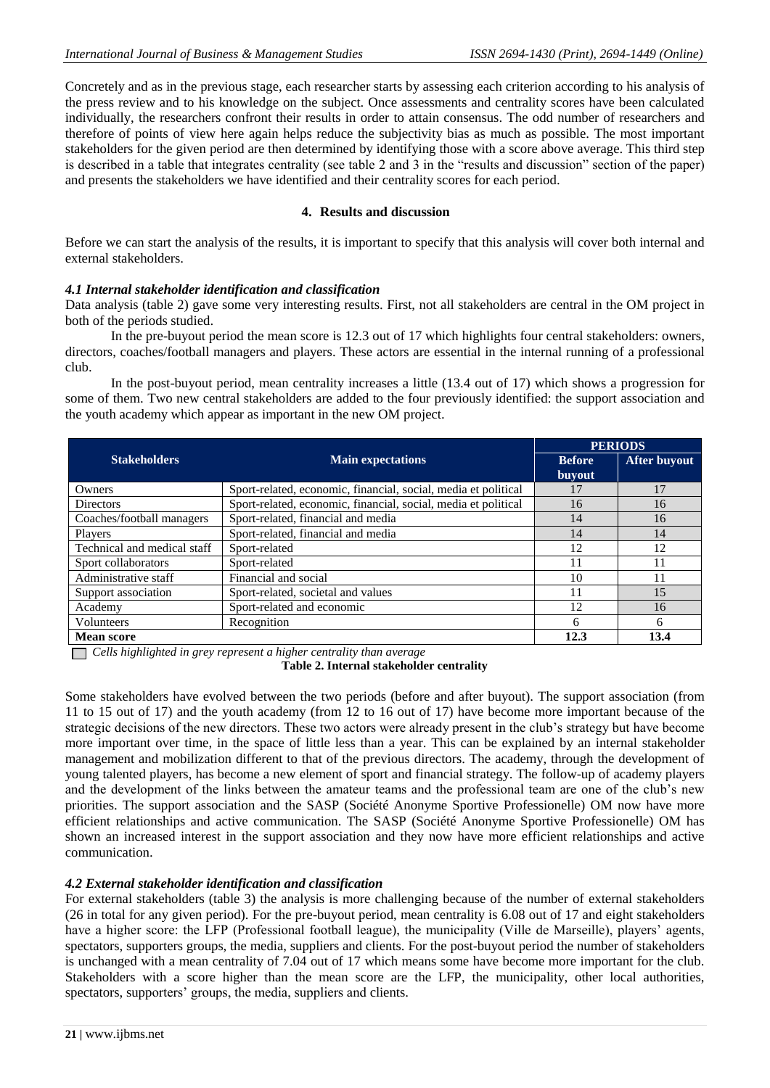Concretely and as in the previous stage, each researcher starts by assessing each criterion according to his analysis of the press review and to his knowledge on the subject. Once assessments and centrality scores have been calculated individually, the researchers confront their results in order to attain consensus. The odd number of researchers and therefore of points of view here again helps reduce the subjectivity bias as much as possible. The most important stakeholders for the given period are then determined by identifying those with a score above average. This third step is described in a table that integrates centrality (see table 2 and 3 in the "results and discussion" section of the paper) and presents the stakeholders we have identified and their centrality scores for each period.

### **4. Results and discussion**

Before we can start the analysis of the results, it is important to specify that this analysis will cover both internal and external stakeholders.

#### *4.1 Internal stakeholder identification and classification*

Data analysis (table 2) gave some very interesting results. First, not all stakeholders are central in the OM project in both of the periods studied.

In the pre-buyout period the mean score is 12.3 out of 17 which highlights four central stakeholders: owners, directors, coaches/football managers and players. These actors are essential in the internal running of a professional club.

In the post-buyout period, mean centrality increases a little (13.4 out of 17) which shows a progression for some of them. Two new central stakeholders are added to the four previously identified: the support association and the youth academy which appear as important in the new OM project.

|                             | <b>Main expectations</b>                                       | <b>PERIODS</b>                 |              |
|-----------------------------|----------------------------------------------------------------|--------------------------------|--------------|
| <b>Stakeholders</b>         |                                                                | <b>Before</b><br><b>buyout</b> | After buyout |
| Owners                      | Sport-related, economic, financial, social, media et political | 17                             | 17           |
| <b>Directors</b>            | Sport-related, economic, financial, social, media et political | 16                             | 16           |
| Coaches/football managers   | Sport-related, financial and media                             | 14                             | 16           |
| Players                     | Sport-related, financial and media                             | 14                             | 14           |
| Technical and medical staff | Sport-related                                                  | 12                             | 12           |
| Sport collaborators         | Sport-related                                                  | 11                             | 11           |
| Administrative staff        | Financial and social                                           | 10                             | 11           |
| Support association         | Sport-related, societal and values                             | 11                             | 15           |
| Academy                     | Sport-related and economic                                     | 12                             | 16           |
| Volunteers                  | Recognition                                                    | 6                              | 6            |
| <b>Mean score</b>           |                                                                | 12.3                           | 13.4         |

 *Cells highlighted in grey represent a higher centrality than average*

**Table 2. Internal stakeholder centrality**

Some stakeholders have evolved between the two periods (before and after buyout). The support association (from 11 to 15 out of 17) and the youth academy (from 12 to 16 out of 17) have become more important because of the strategic decisions of the new directors. These two actors were already present in the club"s strategy but have become more important over time, in the space of little less than a year. This can be explained by an internal stakeholder management and mobilization different to that of the previous directors. The academy, through the development of young talented players, has become a new element of sport and financial strategy. The follow-up of academy players and the development of the links between the amateur teams and the professional team are one of the club"s new priorities. The support association and the SASP (Société Anonyme Sportive Professionelle) OM now have more efficient relationships and active communication. The SASP (Société Anonyme Sportive Professionelle) OM has shown an increased interest in the support association and they now have more efficient relationships and active communication.

# *4.2 External stakeholder identification and classification*

For external stakeholders (table 3) the analysis is more challenging because of the number of external stakeholders (26 in total for any given period). For the pre-buyout period, mean centrality is 6.08 out of 17 and eight stakeholders have a higher score: the LFP (Professional football league), the municipality (Ville de Marseille), players' agents, spectators, supporters groups, the media, suppliers and clients. For the post-buyout period the number of stakeholders is unchanged with a mean centrality of 7.04 out of 17 which means some have become more important for the club. Stakeholders with a score higher than the mean score are the LFP, the municipality, other local authorities, spectators, supporters' groups, the media, suppliers and clients.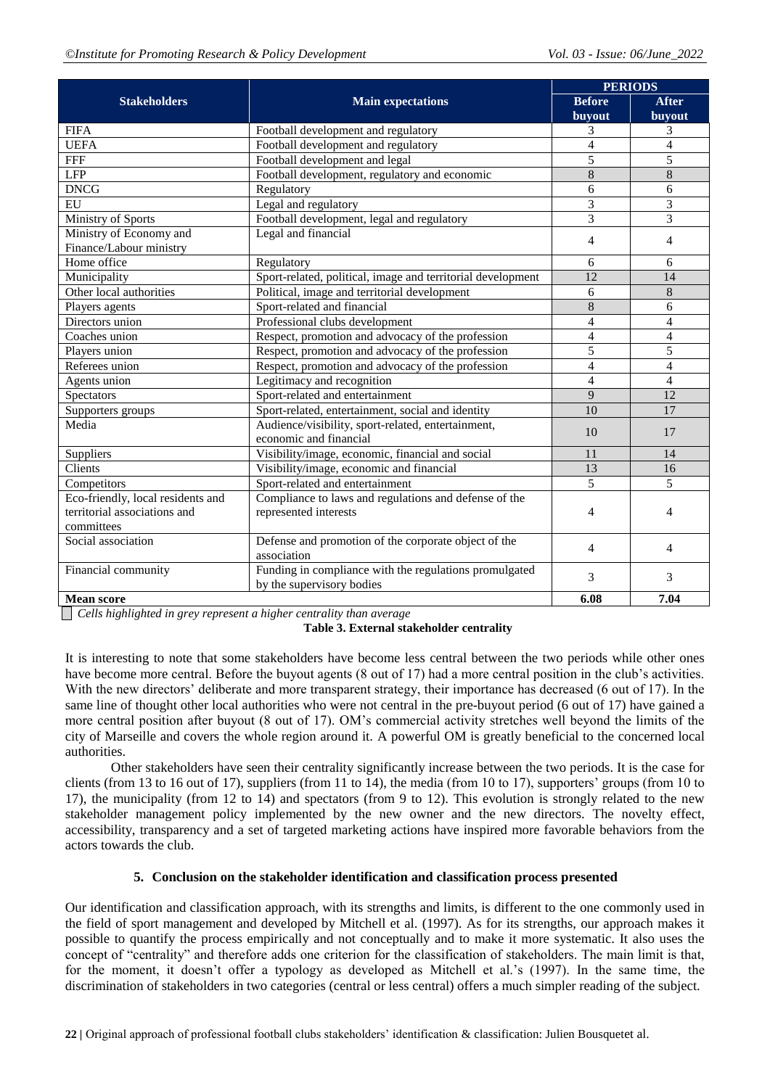|                                   |                                                                     | <b>PERIODS</b>  |                |  |
|-----------------------------------|---------------------------------------------------------------------|-----------------|----------------|--|
| <b>Stakeholders</b>               | <b>Main expectations</b>                                            | <b>Before</b>   | <b>After</b>   |  |
|                                   |                                                                     | buyout          | buyout         |  |
| <b>FIFA</b>                       | Football development and regulatory                                 | 3               | 3              |  |
| <b>UEFA</b>                       | Football development and regulatory                                 | $\overline{4}$  | $\overline{4}$ |  |
| <b>FFF</b>                        | Football development and legal                                      | 5               | 5              |  |
| <b>LFP</b>                        | Football development, regulatory and economic                       | 8               | 8              |  |
| <b>DNCG</b>                       | Regulatory                                                          | 6               | 6              |  |
| EU                                | Legal and regulatory                                                | 3               | 3              |  |
| Ministry of Sports                | Football development, legal and regulatory                          | $\overline{3}$  | $\overline{3}$ |  |
| Ministry of Economy and           | Legal and financial                                                 | 4               | 4              |  |
| Finance/Labour ministry           |                                                                     |                 |                |  |
| Home office                       | Regulatory                                                          | 6               | 6              |  |
| Municipality                      | Sport-related, political, image and territorial development         | 12              | 14             |  |
| Other local authorities           | Political, image and territorial development                        | 6               | $\,8\,$        |  |
| Players agents                    | Sport-related and financial                                         | 8               | 6              |  |
| Directors union                   | Professional clubs development                                      | $\overline{4}$  | $\overline{4}$ |  |
| Coaches union                     | Respect, promotion and advocacy of the profession                   | $\overline{4}$  | $\overline{4}$ |  |
| Players union                     | Respect, promotion and advocacy of the profession                   | 5               | 5              |  |
| Referees union                    | Respect, promotion and advocacy of the profession                   | $\overline{4}$  | $\overline{4}$ |  |
| Agents union                      | Legitimacy and recognition                                          | 4               | $\overline{4}$ |  |
| <b>Spectators</b>                 | Sport-related and entertainment                                     | 9               | 12             |  |
| Supporters groups                 | Sport-related, entertainment, social and identity                   | $\overline{10}$ | 17             |  |
| Media                             | Audience/visibility, sport-related, entertainment,                  | 10              | 17             |  |
|                                   | economic and financial                                              |                 |                |  |
| Suppliers                         | Visibility/image, economic, financial and social                    | 11              | 14             |  |
| Clients                           | Visibility/image, economic and financial                            | 13              | 16             |  |
| Competitors                       | Sport-related and entertainment                                     | 5               | 5              |  |
| Eco-friendly, local residents and | Compliance to laws and regulations and defense of the               |                 |                |  |
| territorial associations and      | represented interests                                               | 4               | $\overline{4}$ |  |
| committees                        |                                                                     |                 |                |  |
| Social association                | Defense and promotion of the corporate object of the<br>association | 4               | 4              |  |
| Financial community               | Funding in compliance with the regulations promulgated              |                 |                |  |
|                                   | by the supervisory bodies                                           | 3               | 3              |  |
| <b>Mean score</b>                 |                                                                     | 6.08            | 7.04           |  |

*Cells highlighted in grey represent a higher centrality than average*

**Table 3. External stakeholder centrality**

It is interesting to note that some stakeholders have become less central between the two periods while other ones have become more central. Before the buyout agents (8 out of 17) had a more central position in the club's activities. With the new directors' deliberate and more transparent strategy, their importance has decreased (6 out of 17). In the same line of thought other local authorities who were not central in the pre-buyout period (6 out of 17) have gained a more central position after buyout (8 out of 17). OM"s commercial activity stretches well beyond the limits of the city of Marseille and covers the whole region around it. A powerful OM is greatly beneficial to the concerned local authorities.

Other stakeholders have seen their centrality significantly increase between the two periods. It is the case for clients (from 13 to 16 out of 17), suppliers (from 11 to 14), the media (from 10 to 17), supporters' groups (from 10 to 17), the municipality (from 12 to 14) and spectators (from 9 to 12). This evolution is strongly related to the new stakeholder management policy implemented by the new owner and the new directors. The novelty effect, accessibility, transparency and a set of targeted marketing actions have inspired more favorable behaviors from the actors towards the club.

# **5. Conclusion on the stakeholder identification and classification process presented**

Our identification and classification approach, with its strengths and limits, is different to the one commonly used in the field of sport management and developed by Mitchell et al. (1997). As for its strengths, our approach makes it possible to quantify the process empirically and not conceptually and to make it more systematic. It also uses the concept of "centrality" and therefore adds one criterion for the classification of stakeholders. The main limit is that, for the moment, it doesn"t offer a typology as developed as Mitchell et al."s (1997). In the same time, the discrimination of stakeholders in two categories (central or less central) offers a much simpler reading of the subject.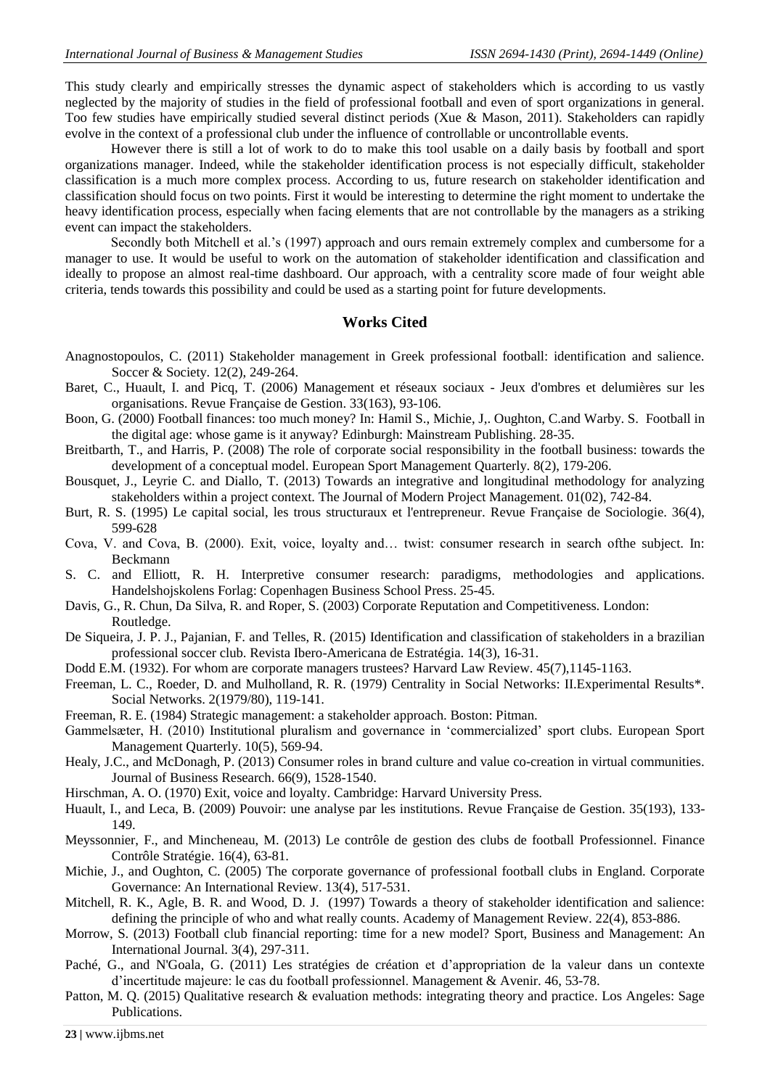This study clearly and empirically stresses the dynamic aspect of stakeholders which is according to us vastly neglected by the majority of studies in the field of professional football and even of sport organizations in general. Too few studies have empirically studied several distinct periods (Xue & Mason, 2011). Stakeholders can rapidly evolve in the context of a professional club under the influence of controllable or uncontrollable events.

However there is still a lot of work to do to make this tool usable on a daily basis by football and sport organizations manager. Indeed, while the stakeholder identification process is not especially difficult, stakeholder classification is a much more complex process. According to us, future research on stakeholder identification and classification should focus on two points. First it would be interesting to determine the right moment to undertake the heavy identification process, especially when facing elements that are not controllable by the managers as a striking event can impact the stakeholders.

Secondly both Mitchell et al."s (1997) approach and ours remain extremely complex and cumbersome for a manager to use. It would be useful to work on the automation of stakeholder identification and classification and ideally to propose an almost real-time dashboard. Our approach, with a centrality score made of four weight able criteria, tends towards this possibility and could be used as a starting point for future developments.

### **Works Cited**

- Anagnostopoulos, C. (2011) Stakeholder management in Greek professional football: identification and salience. Soccer & Society. 12(2), 249-264.
- Baret, C., Huault, I. and Picq, T. (2006) Management et réseaux sociaux Jeux d'ombres et delumières sur les organisations. Revue Française de Gestion. 33(163), 93-106.
- Boon, G. (2000) Football finances: too much money? In: [Hamil S.,](http://www.cabdirect.org/search.html?q=ed%3A%22Hamil%2C+S.%22) [Michie,](http://www.cabdirect.org/search.html?q=ed%3A%22Michie%2C+J.%22) J,. [Oughton,](http://www.cabdirect.org/search.html?q=ed%3A%22Oughton%2C+C.%22) C.an[d Warby. S. F](http://www.cabdirect.org/search.html?q=ed%3A%22Warby%2C+S.+%28Editors%29%22)ootball in the digital age: whose game is it anyway? Edinburgh: Mainstream Publishing. 28-35.
- Breitbarth, T., and Harris, P. (2008) The role of corporate social responsibility in the football business: towards the development of a conceptual model. European Sport Management Quarterly. 8(2), 179-206.
- Bousquet, J., Leyrie C. and Diallo, T. (2013) Towards an integrative and longitudinal methodology for analyzing stakeholders within a project context. The Journal of Modern Project Management. 01(02), 742-84.
- Burt, R. S. (1995) Le capital social, les trous structuraux et l'entrepreneur. Revue Française de Sociologie. 36(4), 599-628
- Cova, V. and Cova, B. (2000). Exit, voice, loyalty and… twist: consumer research in search ofthe subject. In: Beckmann
- S. C. and Elliott, R. H*.* Interpretive consumer research: paradigms, methodologies and applications. Handelshojskolens Forlag: Copenhagen Business School Press. 25-45.
- Davis, G., R. Chun, Da Silva, R. and Roper, S. (2003) Corporate Reputation and Competitiveness*.* London: Routledge.
- De Siqueira, J. P. J., Pajanian, F. and Telles, R. (2015) Identification and classification of stakeholders in a brazilian professional soccer club. Revista Ibero-Americana de Estratégia. 14(3), 16-31.
- Dodd E.M. (1932). For whom are corporate managers trustees? Harvard Law Review. 45(7),1145-1163.
- Freeman, L. C., Roeder, D. and Mulholland, R. R. (1979) Centrality in Social Networks: II.Experimental Results\*. Social Networks. 2(1979/80), 119-141.
- Freeman, R. E. (1984) Strategic management: a stakeholder approach. Boston: Pitman.
- Gammelsæter, H. (2010) Institutional pluralism and governance in "commercialized" sport clubs. European Sport Management Quarterly. 10(5), 569-94.
- Healy, J.C., and McDonagh, P. (2013) Consumer roles in brand culture and value co-creation in virtual communities. Journal of Business Research. 66(9), 1528-1540.
- Hirschman, A. O. (1970) Exit, voice and loyalty. Cambridge: Harvard University Press.
- Huault, I., and Leca, B. (2009) Pouvoir: une analyse par les institutions. Revue Française de Gestion. 35(193), 133- 149.
- Meyssonnier, F., and Mincheneau, M. (2013) Le contrôle de gestion des clubs de football Professionnel. Finance Contrôle Stratégie. 16(4), 63-81.
- Michie, J., and Oughton, C. (2005) The corporate governance of professional football clubs in England. Corporate Governance: An International Review. 13(4), 517-531.
- Mitchell, R. K., Agle, B. R. and Wood, D. J. (1997) Towards a theory of stakeholder identification and salience: defining the principle of who and what really counts. Academy of Management Review. 22(4), 853-886.
- Morrow, S. (2013) Football club financial reporting: time for a new model? Sport, Business and Management: An International Journal. 3(4), 297-311.
- Paché, G., and N'Goala, G. (2011) Les stratégies de création et d"appropriation de la valeur dans un contexte d"incertitude majeure: le cas du football professionnel. Management & Avenir. 46, 53-78.
- Patton, M. Q. (2015) Qualitative research & evaluation methods: integrating theory and practice. Los Angeles: Sage Publications.